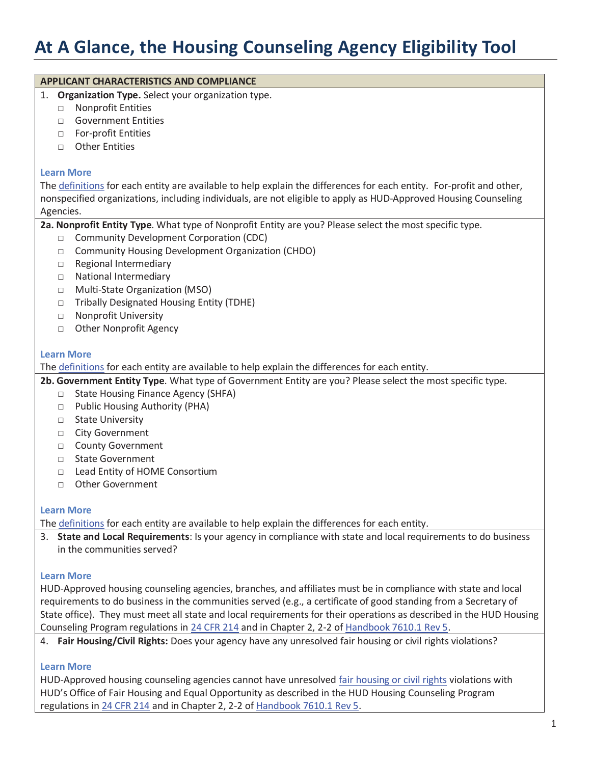# **At A Glance, the Housing Counseling Agency Eligibility Tool**

| <b>APPLICANT CHARACTERISTICS AND COMPLIANCE</b><br>1.                                                                |
|----------------------------------------------------------------------------------------------------------------------|
| Organization Type. Select your organization type.<br><b>Nonprofit Entities</b><br>$\Box$                             |
| <b>Government Entities</b><br>$\Box$                                                                                 |
| For-profit Entities                                                                                                  |
| $\Box$<br><b>Other Entities</b>                                                                                      |
| $\Box$                                                                                                               |
| <b>Learn More</b>                                                                                                    |
| The definitions for each entity are available to help explain the differences for each entity. For-profit and other, |
| nonspecified organizations, including individuals, are not eligible to apply as HUD-Approved Housing Counseling      |
| Agencies.                                                                                                            |
| 2a. Nonprofit Entity Type. What type of Nonprofit Entity are you? Please select the most specific type.              |
| <b>Community Development Corporation (CDC)</b><br>$\Box$                                                             |
| <b>Community Housing Development Organization (CHDO)</b><br>$\Box$                                                   |
| Regional Intermediary<br>$\Box$                                                                                      |
| National Intermediary<br>$\Box$                                                                                      |
| Multi-State Organization (MSO)<br>$\Box$                                                                             |
| <b>Tribally Designated Housing Entity (TDHE)</b><br>$\Box$                                                           |
| Nonprofit University<br>$\Box$                                                                                       |
| <b>Other Nonprofit Agency</b><br>$\Box$                                                                              |
|                                                                                                                      |
| <b>Learn More</b>                                                                                                    |
| The definitions for each entity are available to help explain the differences for each entity.                       |
| 2b. Government Entity Type. What type of Government Entity are you? Please select the most specific type.            |
| <b>State Housing Finance Agency (SHFA)</b><br>$\Box$                                                                 |
| Public Housing Authority (PHA)<br>$\Box$                                                                             |
| <b>State University</b><br>$\Box$                                                                                    |
| <b>City Government</b><br>$\Box$                                                                                     |
| <b>County Government</b>                                                                                             |
| $\Box$<br><b>State Government</b>                                                                                    |
| $\Box$                                                                                                               |
| Lead Entity of HOME Consortium<br>$\Box$<br><b>Other Government</b>                                                  |
| $\Box$                                                                                                               |
| <b>Learn More</b>                                                                                                    |
| The definitions for each entity are available to help explain the differences for each entity.                       |
| 3. State and Local Requirements: Is your agency in compliance with state and local requirements to do business       |
| in the communities served?                                                                                           |
|                                                                                                                      |
| <b>Learn More</b>                                                                                                    |
| HUD-Approved housing counseling agencies, branches, and affiliates must be in compliance with state and local        |
| requirements to do business in the communities served (e.g., a certificate of good standing from a Secretary of      |
| State office). They must meet all state and local requirements for their operations as described in the HUD Housing  |
| Counseling Program regulations in 24 CFR 214 and in Chapter 2, 2-2 of Handbook 7610.1 Rev 5.                         |
| 4. Fair Housing/Civil Rights: Does your agency have any unresolved fair housing or civil rights violations?          |
|                                                                                                                      |
| <b>Learn More</b>                                                                                                    |

HUD-Approved housing counseling agencies cannot have unresolved fair housing or civil rights violations with HUD's Office of Fair Housing and Equal Opportunity as described in the HUD Housing Counseling Program regulations in 24 CFR 214 and in Chapter 2, 2-2 of Handbook 7610.1 Rev 5.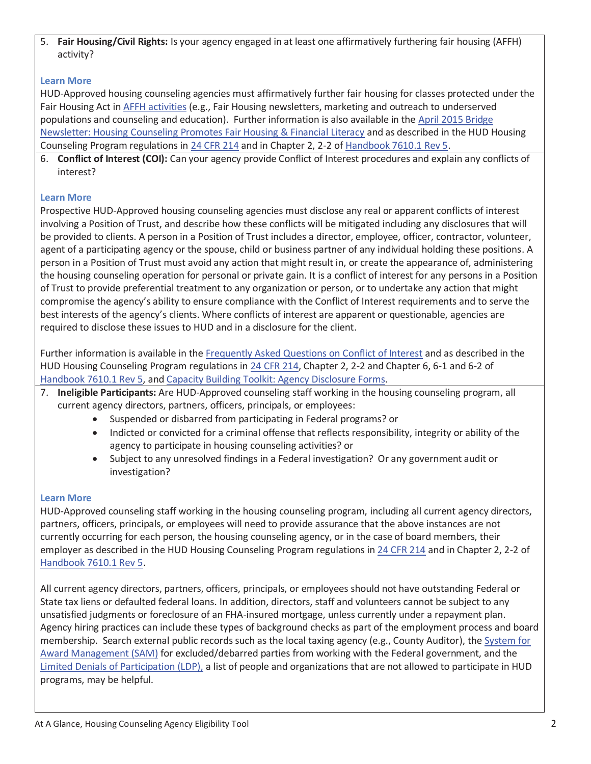5. **Fair Housing/Civil Rights:** Is your agency engaged in at least one affirmatively furthering fair housing (AFFH) activity?

## **Learn More**

HUD-Approved housing counseling agencies must affirmatively further fair housing for classes protected under the Fair Housing Act in AFFH activities (e.g., Fair Housing newsletters, marketing and outreach to underserved populations and counseling and education). Further information is also available in the April 2015 Bridge Newsletter: Housing Counseling Promotes Fair Housing & Financial Literacy and as described in the HUD Housing Counseling Program regulations in 24 CFR 214 and in Chapter 2, 2-2 of Handbook 7610.1 Rev 5.

6. **Conflict of Interest (COI):** Can your agency provide Conflict of Interest procedures and explain any conflicts of interest?

## **Learn More**

Prospective HUD-Approved housing counseling agencies must disclose any real or apparent conflicts of interest involving a Position of Trust, and describe how these conflicts will be mitigated including any disclosures that will be provided to clients. A person in a Position of Trust includes a director, employee, officer, contractor, volunteer, agent of a participating agency or the spouse, child or business partner of any individual holding these positions. A person in a Position of Trust must avoid any action that might result in, or create the appearance of, administering the housing counseling operation for personal or private gain. It is a conflict of interest for any persons in a Position of Trust to provide preferential treatment to any organization or person, or to undertake any action that might compromise the agency's ability to ensure compliance with the Conflict of Interest requirements and to serve the best interests of the agency's clients. Where conflicts of interest are apparent or questionable, agencies are required to disclose these issues to HUD and in a disclosure for the client.

Further information is available in the Frequently Asked Questions on Conflict of Interest and as described in the HUD Housing Counseling Program regulations in 24 CFR 214, Chapter 2, 2-2 and Chapter 6, 6-1 and 6-2 of Handbook 7610.1 Rev 5, and Capacity Building Toolkit: Agency Disclosure Forms.

- 7. **Ineligible Participants:** Are HUD-Approved counseling staff working in the housing counseling program, all current agency directors, partners, officers, principals, or employees:
	- Suspended or disbarred from participating in Federal programs? or
	- Indicted or convicted for a criminal offense that reflects responsibility, integrity or ability of the agency to participate in housing counseling activities? or
	- Subject to any unresolved findings in a Federal investigation? Or any government audit or investigation?

## **Learn More**

HUD-Approved counseling staff working in the housing counseling program, including all current agency directors, partners, officers, principals, or employees will need to provide assurance that the above instances are not currently occurring for each person, the housing counseling agency, or in the case of board members, their employer as described in the HUD Housing Counseling Program regulations in 24 CFR 214 and in Chapter 2, 2-2 of Handbook 7610.1 Rev 5.

All current agency directors, partners, officers, principals, or employees should not have outstanding Federal or State tax liens or defaulted federal loans. In addition, directors, staff and volunteers cannot be subject to any unsatisfied judgments or foreclosure of an FHA-insured mortgage, unless currently under a repayment plan. Agency hiring practices can include these types of background checks as part of the employment process and board membership. Search external public records such as the local taxing agency (e.g., County Auditor), the System for Award Management (SAM) for excluded/debarred parties from working with the Federal government, and the Limited Denials of Participation (LDP), a list of people and organizations that are not allowed to participate in HUD programs, may be helpful.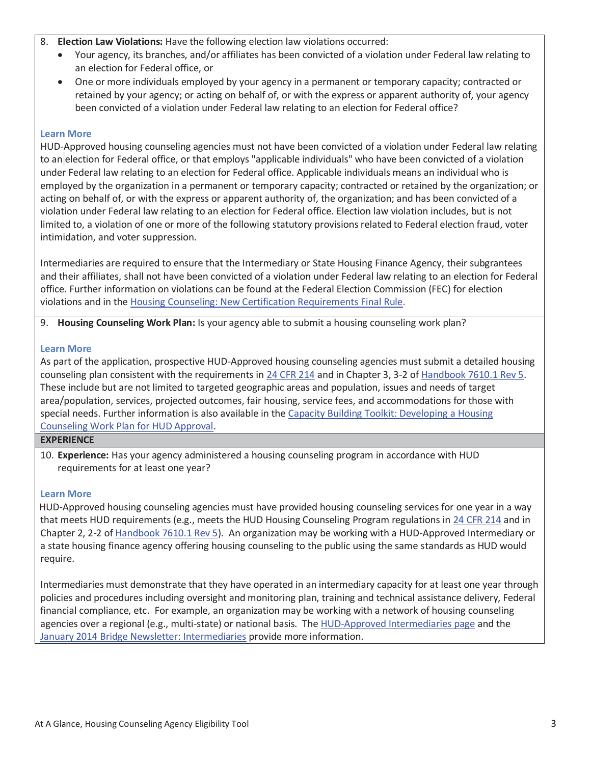#### 8. **Election Law Violations:** Have the following election law violations occurred:

- Your agency, its branches, and/or affiliates has been convicted of a violation under Federal law relating to an election for Federal office, or
- One or more individuals employed by your agency in a permanent or temporary capacity; contracted or retained by your agency; or acting on behalf of, or with the express or apparent authority of, your agency been convicted of a violation under Federal law relating to an election for Federal office?

#### **Learn More**

HUD-Approved housing counseling agencies must not have been convicted of a violation under Federal law relating to an election for Federal office, or that employs "applicable individuals" who have been convicted of a violation under Federal law relating to an election for Federal office. Applicable individuals means an individual who is employed by the organization in a permanent or temporary capacity; contracted or retained by the organization; or acting on behalf of, or with the express or apparent authority of, the organization; and has been convicted of a violation under Federal law relating to an election for Federal office. Election law violation includes, but is not limited to, a violation of one or more of the following statutory provisions related to Federal election fraud, voter intimidation, and voter suppression.

Intermediaries are required to ensure that the Intermediary or State Housing Finance Agency, their subgrantees and their affiliates, shall not have been convicted of a violation under Federal law relating to an election for Federal office. Further information on violations can be found at the Federal Election Commission (FEC) for election violations and in the Housing Counseling: New Certification Requirements Final Rule.

9. **Housing Counseling Work Plan:** Is your agency able to submit a housing counseling work plan?

#### **Learn More**

As part of the application, prospective HUD-Approved housing counseling agencies must submit a detailed housing counseling plan consistent with the requirements in 24 CFR 214 and in Chapter 3, 3-2 of Handbook 7610.1 Rev 5. These include but are not limited to targeted geographic areas and population, issues and needs of target area/population, services, projected outcomes, fair housing, service fees, and accommodations for those with special needs. Further information is also available in the Capacity Building Toolkit: Developing a Housing Counseling Work Plan for HUD Approval.

#### **EXPERIENCE**

10. **Experience:** Has your agency administered a housing counseling program in accordance with HUD requirements for at least one year?

#### **Learn More**

HUD-Approved housing counseling agencies must have provided housing counseling services for one year in a way that meets HUD requirements (e.g., meets the HUD Housing Counseling Program regulations in 24 CFR 214 and in Chapter 2, 2-2 of Handbook 7610.1 Rev 5). An organization may be working with a HUD-Approved Intermediary or a state housing finance agency offering housing counseling to the public using the same standards as HUD would require.

Intermediaries must demonstrate that they have operated in an intermediary capacity for at least one year through policies and procedures including oversight and monitoring plan, training and technical assistance delivery, Federal financial compliance, etc. For example, an organization may be working with a network of housing counseling agencies over a regional (e.g., multi-state) or national basis. The HUD-Approved Intermediaries page and the January 2014 Bridge Newsletter: Intermediaries provide more information.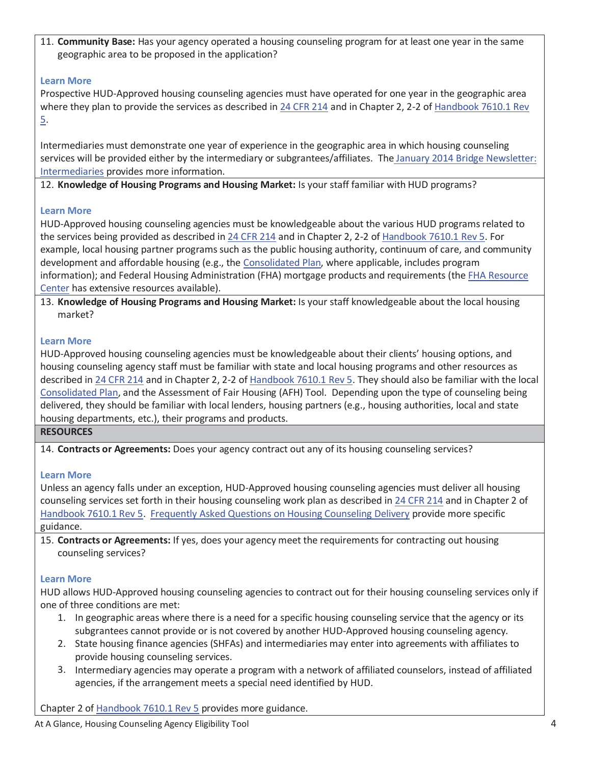11. **Community Base:** Has your agency operated a housing counseling program for at least one year in the same geographic area to be proposed in the application?

## **Learn More**

Prospective HUD-Approved housing counseling agencies must have operated for one year in the geographic area where they plan to provide the services as described in 24 CFR 214 and in Chapter 2, 2-2 of Handbook 7610.1 Rev 5.

Intermediaries must demonstrate one year of experience in the geographic area in which housing counseling services will be provided either by the intermediary or subgrantees/affiliates. The January 2014 Bridge Newsletter: Intermediaries provides more information.

12. **Knowledge of Housing Programs and Housing Market:** Is your staff familiar with HUD programs?

## **Learn More**

HUD-Approved housing counseling agencies must be knowledgeable about the various HUD programs related to the services being provided as described in 24 CFR 214 and in Chapter 2, 2-2 of Handbook 7610.1 Rev 5. For example, local housing partner programs such as the public housing authority, continuum of care, and community development and affordable housing (e.g., the Consolidated Plan, where applicable, includes program information); and Federal Housing Administration (FHA) mortgage products and requirements (the FHA Resource Center has extensive resources available).

13. **Knowledge of Housing Programs and Housing Market:** Is your staff knowledgeable about the local housing market?

# **Learn More**

HUD-Approved housing counseling agencies must be knowledgeable about their clients' housing options, and housing counseling agency staff must be familiar with state and local housing programs and other resources as described in 24 CFR 214 and in Chapter 2, 2-2 of Handbook 7610.1 Rev 5. They should also be familiar with the local Consolidated Plan, and the Assessment of Fair Housing (AFH) Tool. Depending upon the type of counseling being delivered, they should be familiar with local lenders, housing partners (e.g., housing authorities, local and state housing departments, etc.), their programs and products.

## **RESOURCES**

14. **Contracts or Agreements:** Does your agency contract out any of its housing counseling services?

# **Learn More**

Unless an agency falls under an exception, HUD-Approved housing counseling agencies must deliver all housing counseling services set forth in their housing counseling work plan as described in 24 CFR 214 and in Chapter 2 of Handbook 7610.1 Rev 5. Frequently Asked Questions on Housing Counseling Delivery provide more specific guidance.

15. **Contracts or Agreements:** If yes, does your agency meet the requirements for contracting out housing counseling services?

# **Learn More**

HUD allows HUD-Approved housing counseling agencies to contract out for their housing counseling services only if one of three conditions are met:

- 1. In geographic areas where there is a need for a specific housing counseling service that the agency or its subgrantees cannot provide or is not covered by another HUD-Approved housing counseling agency.
- 2. State housing finance agencies (SHFAs) and intermediaries may enter into agreements with affiliates to provide housing counseling services.
- 3. Intermediary agencies may operate a program with a network of affiliated counselors, instead of affiliated agencies, if the arrangement meets a special need identified by HUD.

Chapter 2 of Handbook 7610.1 Rev 5 provides more guidance.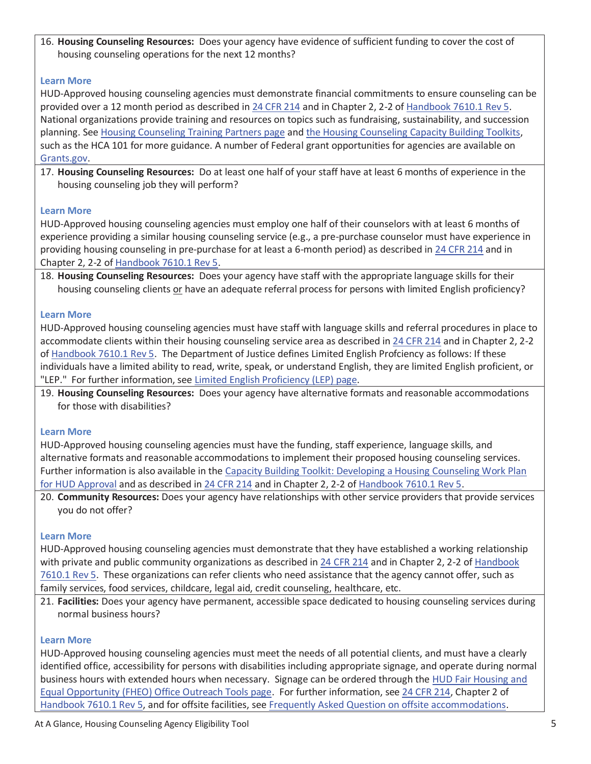16. **Housing Counseling Resources:** Does your agency have evidence of sufficient funding to cover the cost of housing counseling operations for the next 12 months?

## **Learn More**

HUD-Approved housing counseling agencies must demonstrate financial commitments to ensure counseling can be provided over a 12 month period as described in 24 CFR 214 and in Chapter 2, 2-2 of Handbook 7610.1 Rev 5. National organizations provide training and resources on topics such as fundraising, sustainability, and succession planning. See Housing Counseling Training Partners page and the Housing Counseling Capacity Building Toolkits, such as the HCA 101 for more guidance. A number of Federal grant opportunities for agencies are available on Grants.gov.

17. **Housing Counseling Resources:** Do at least one half of your staff have at least 6 months of experience in the housing counseling job they will perform?

## **Learn More**

HUD-Approved housing counseling agencies must employ one half of their counselors with at least 6 months of experience providing a similar housing counseling service (e.g., a pre-purchase counselor must have experience in providing housing counseling in pre-purchase for at least a 6-month period) as described in 24 CFR 214 and in Chapter 2, 2-2 of Handbook 7610.1 Rev 5.

18. **Housing Counseling Resources:** Does your agency have staff with the appropriate language skills for their housing counseling clients or have an adequate referral process for persons with limited English proficiency?

## **Learn More**

HUD-Approved housing counseling agencies must have staff with language skills and referral procedures in place to accommodate clients within their housing counseling service area as described in 24 CFR 214 and in Chapter 2, 2-2 of Handbook 7610.1 Rev 5. The Department of Justice defines Limited English Profciency as follows: If these individuals have a limited ability to read, write, speak, or understand English, they are limited English proficient, or "LEP." For further information, see Limited English Proficiency (LEP) page.

19. **Housing Counseling Resources:** Does your agency have alternative formats and reasonable accommodations for those with disabilities?

## **Learn More**

HUD-Approved housing counseling agencies must have the funding, staff experience, language skills, and alternative formats and reasonable accommodations to implement their proposed housing counseling services. Further information is also available in the Capacity Building Toolkit: Developing a Housing Counseling Work Plan for HUD Approval and as described in 24 CFR 214 and in Chapter 2, 2-2 of Handbook 7610.1 Rev 5.

20. **Community Resources:** Does your agency have relationships with other service providers that provide services you do not offer?

## **Learn More**

HUD-Approved housing counseling agencies must demonstrate that they have established a working relationship with private and public community organizations as described in 24 CFR 214 and in Chapter 2, 2-2 of Handbook 7610.1 Rev 5. These organizations can refer clients who need assistance that the agency cannot offer, such as family services, food services, childcare, legal aid, credit counseling, healthcare, etc.

21. **Facilities:** Does your agency have permanent, accessible space dedicated to housing counseling services during normal business hours?

## **Learn More**

HUD-Approved housing counseling agencies must meet the needs of all potential clients, and must have a clearly identified office, accessibility for persons with disabilities including appropriate signage, and operate during normal business hours with extended hours when necessary. Signage can be ordered through the HUD Fair Housing and Equal Opportunity (FHEO) Office Outreach Tools page. For further information, see 24 CFR 214, Chapter 2 of Handbook 7610.1 Rev 5, and for offsite facilities, see Frequently Asked Question on offsite accommodations.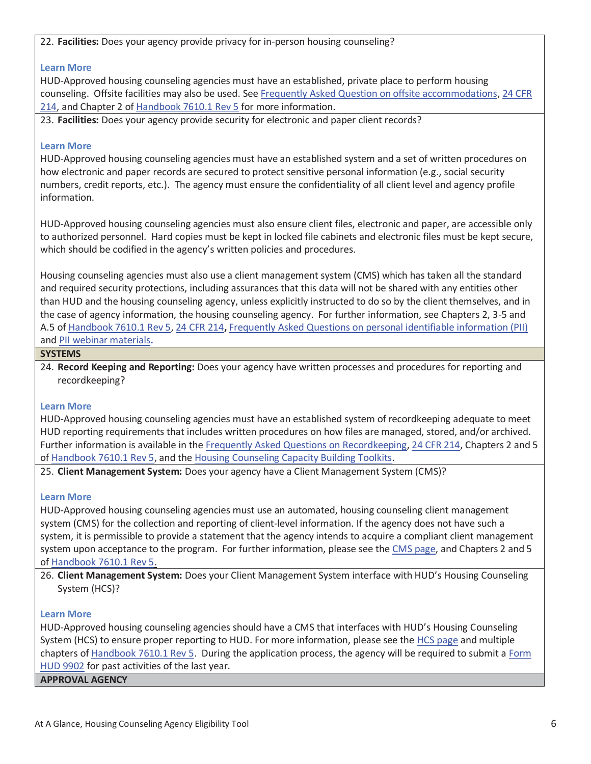22. **Facilities:** Does your agency provide privacy for in-person housing counseling?

#### **Learn More**

HUD-Approved housing counseling agencies must have an established, private place to perform housing counseling. Offsite facilities may also be used. See Frequently Asked Question on offsite accommodations, 24 CFR 214, and Chapter 2 of Handbook 7610.1 Rev 5 for more information.

23. **Facilities:** Does your agency provide security for electronic and paper client records?

#### **Learn More**

HUD-Approved housing counseling agencies must have an established system and a set of written procedures on how electronic and paper records are secured to protect sensitive personal information (e.g., social security numbers, credit reports, etc.). The agency must ensure the confidentiality of all client level and agency profile information.

HUD-Approved housing counseling agencies must also ensure client files, electronic and paper, are accessible only to authorized personnel. Hard copies must be kept in locked file cabinets and electronic files must be kept secure, which should be codified in the agency's written policies and procedures.

Housing counseling agencies must also use a client management system (CMS) which has taken all the standard and required security protections, including assurances that this data will not be shared with any entities other than HUD and the housing counseling agency, unless explicitly instructed to do so by the client themselves, and in the case of agency information, the housing counseling agency. For further information, see Chapters 2, 3-5 and A.5 of Handbook 7610.1 Rev 5, 24 CFR 214**,** Frequently Asked Questions on personal identifiable information (PII) and PII webinar materials**.**

#### **SYSTEMS**

24. **Record Keeping and Reporting:** Does your agency have written processes and procedures for reporting and recordkeeping?

#### **Learn More**

HUD-Approved housing counseling agencies must have an established system of recordkeeping adequate to meet HUD reporting requirements that includes written procedures on how files are managed, stored, and/or archived. Further information is available in the Frequently Asked Questions on Recordkeeping, 24 CFR 214, Chapters 2 and 5 of Handbook 7610.1 Rev 5, and the Housing Counseling Capacity Building Toolkits.

25. **Client Management System:** Does your agency have a Client Management System (CMS)?

#### **Learn More**

HUD-Approved housing counseling agencies must use an automated, housing counseling client management system (CMS) for the collection and reporting of client-level information. If the agency does not have such a system, it is permissible to provide a statement that the agency intends to acquire a compliant client management system upon acceptance to the program. For further information, please see the CMS page, and Chapters 2 and 5 of Handbook 7610.1 Rev 5.

26. **Client Management System:** Does your Client Management System interface with HUD's Housing Counseling System (HCS)?

#### **Learn More**

HUD-Approved housing counseling agencies should have a CMS that interfaces with HUD's Housing Counseling System (HCS) to ensure proper reporting to HUD. For more information, please see the HCS page and multiple chapters of Handbook 7610.1 Rev 5. During the application process, the agency will be required to submit a Form HUD 9902 for past activities of the last year.

**APPROVAL AGENCY**